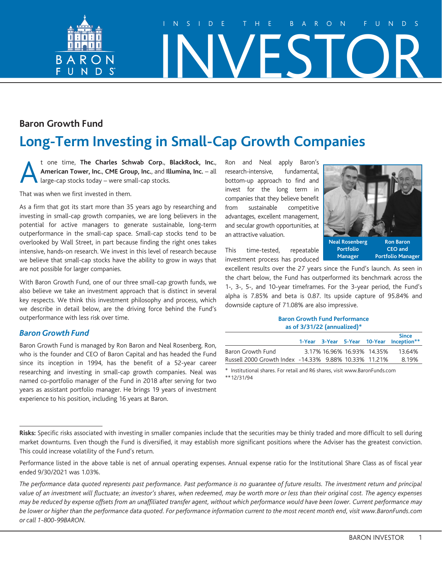

# **Baron Growth Fund**

# **Long-Term Investing in Small-Cap Growth Companies**

At one time, **The Charles Schwab Corp.**, **BlackRock, Inc.**, **American Tower, Inc.**, **CME Group, Inc.**, and **Illumina, Inc.** – all large-cap stocks today – were small-cap stocks.

That was when we first invested in them.

As a firm that got its start more than 35 years ago by researching and investing in small-cap growth companies, we are long believers in the potential for active managers to generate sustainable, long-term outperformance in the small-cap space. Small-cap stocks tend to be overlooked by Wall Street, in part because finding the right ones takes intensive, hands-on research. We invest in this level of research because we believe that small-cap stocks have the ability to grow in ways that are not possible for larger companies.

With Baron Growth Fund, one of our three small-cap growth funds, we also believe we take an investment approach that is distinct in several key respects. We think this investment philosophy and process, which we describe in detail below, are the driving force behind the Fund's outperformance with less risk over time.

# *BaronGrowth Fund*

Baron Growth Fund is managed by Ron Baron and Neal Rosenberg. Ron, who is the founder and CEO of Baron Capital and has headed the Fund since its inception in 1994, has the benefit of a 52-year career researching and investing in small-cap growth companies. Neal was named co-portfolio manager of the Fund in 2018 after serving for two years as assistant portfolio manager. He brings 19 years of investment experience to his position, including 16 years at Baron.

Ron and Neal apply Baron's research-intensive, fundamental, bottom-up approach to find and invest for the long term in companies that they believe benefit from sustainable competitive advantages, excellent management, and secular growth opportunities, at an attractive valuation.



This time-tested, repeatable investment process has produced

excellent results over the 27 years since the Fund's launch. As seen in the chart below, the Fund has outperformed its benchmark across the 1-, 3-, 5-, and 10-year timeframes. For the 3-year period, the Fund's alpha is 7.85% and beta is 0.87. Its upside capture of 95.84% and downside capture of 71.08% are also impressive.

#### **Baron Growth Fund Performance as of 3/31/22 (annualized)\***

|                                                       |  |                            | <b>Since</b><br>1-Year 3-Year 5-Year 10-Year Inception** |
|-------------------------------------------------------|--|----------------------------|----------------------------------------------------------|
| Baron Growth Fund                                     |  | 3.17% 16.96% 16.93% 14.35% | 13.64%                                                   |
| Russell 2000 Growth Index -14.33% 9.88% 10.33% 11.21% |  |                            | 8.19%                                                    |

\* Institutional shares. For retail and R6 shares, visit www.BaronFunds.com \*\*12/31/94

**Risks:** Specific risks associated with investing in smaller companies include that the securities may be thinly traded and more difficult to sell during market downturns. Even though the Fund is diversified, it may establish more significant positions where the Adviser has the greatest conviction. This could increase volatility of the Fund's return.

Performance listed in the above table is net of annual operating expenses. Annual expense ratio for the Institutional Share Class as of fiscal year ended 9/30/2021 was 1.03%.

The performance data quoted represents past performance. Past performance is no guarantee of future results. The investment return and principal value of an investment will fluctuate; an investor's shares, when redeemed, may be worth more or less than their original cost. The agency expenses may be reduced by expense offsets from an unaffiliated transfer agent, without which performance would have been lower. Current performance may be lower or higher than the performance data quoted. For performance information current to the most recent month end, visit www.BaronFunds.com *or call 1-800-99BARON.*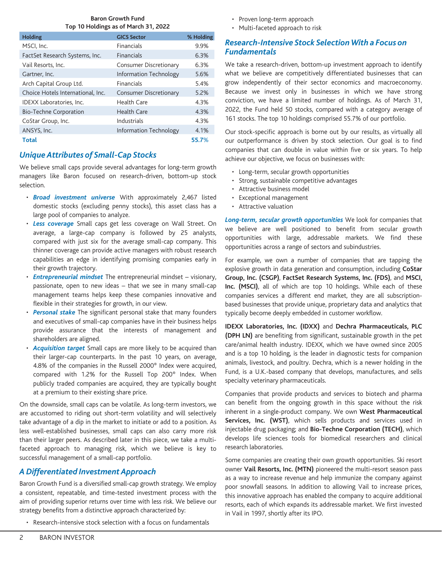#### **Baron Growth Fund Top 10 Holdings as of March 31, 2022**

| Holding                           | <b>GICS Sector</b>            | % Holding |
|-----------------------------------|-------------------------------|-----------|
| MSCI, Inc.                        | Financials                    | 9.9%      |
| FactSet Research Systems, Inc.    | Financials                    | 6.3%      |
| Vail Resorts, Inc.                | Consumer Discretionary        | 6.3%      |
| Gartner, Inc.                     | Information Technology        | 5.6%      |
| Arch Capital Group Ltd.           | <b>Financials</b>             | 5.4%      |
| Choice Hotels International, Inc. | <b>Consumer Discretionary</b> | 5.2%      |
| IDEXX Laboratories, Inc.          | <b>Health Care</b>            | 4.3%      |
| Bio-Techne Corporation            | <b>Health Care</b>            | 4.3%      |
| CoStar Group, Inc.                | Industrials                   | 4.3%      |
| ANSYS, Inc.                       | Information Technology        | 4.1%      |
| Total                             |                               | 55.7%     |

# *Unique Attributes of Small-Cap Stocks*

We believe small caps provide several advantages for long-term growth managers like Baron focused on research-driven, bottom-up stock selection.

- *Broad investment universe* With approximately 2,467 listed domestic stocks (excluding penny stocks), this asset class has a large pool of companies to analyze.
- *Less coverage* Small caps get less coverage on Wall Street. On average, a large-cap company is followed by 25 analysts, compared with just six for the average small-cap company. This thinner coverage can provide active managers with robust research capabilities an edge in identifying promising companies early in their growth trajectory.
- *Entrepreneurial mindset* The entrepreneurial mindset visionary, passionate, open to new ideas – that we see in many small-cap management teams helps keep these companies innovative and flexible in their strategies for growth, in our view.
- *Personal stake* The significant personal stake that many founders and executives of small-cap companies have in their business helps provide assurance that the interests of management and shareholders are aligned.
- *Acquisition target* Small caps are more likely to be acquired than their larger-cap counterparts. In the past 10 years, on average, 4.8% of the companies in the Russell 2000® Index were acquired, compared with 1.2% for the Russell Top 200® Index. When publicly traded companies are acquired, they are typically bought at a premium to their existing share price.

On the downside, small caps can be volatile. As long-term investors, we are accustomed to riding out short-term volatility and will selectively take advantage of a dip in the market to initiate or add to a position. As less well-established businesses, small caps can also carry more risk than their larger peers. As described later in this piece, we take a multifaceted approach to managing risk, which we believe is key to successful management of a small-cap portfolio.

# *A Differentiated Investment Approach*

Baron Growth Fund is a diversified small-cap growth strategy. We employ a consistent, repeatable, and time-tested investment process with the aim of providing superior returns over time with less risk. We believe our strategy benefits from a distinctive approach characterized by:

• Research-intensive stock selection with a focus on fundamentals

- Proven long-term approach
- Multi-faceted approach to risk

# *Research-Intensive Stock Selection With a Focus on Fundamentals*

We take a research-driven, bottom-up investment approach to identify what we believe are competitively differentiated businesses that can grow independently of their sector economics and macroeconomy. Because we invest only in businesses in which we have strong conviction, we have a limited number of holdings. As of March 31, 2022, the Fund held 50 stocks, compared with a category average of 161 stocks. The top 10 holdings comprised 55.7% of our portfolio.

Our stock-specific approach is borne out by our results, as virtually all our outperformance is driven by stock selection. Our goal is to find companies that can double in value within five or six years. To help achieve our objective, we focus on businesses with:

- Long-term, secular growth opportunities
- Strong, sustainable competitive advantages
- Attractive business model
- Exceptional management
- Attractive valuation

*Long-term, secular growth opportunities* We look for companies that we believe are well positioned to benefit from secular growth opportunities with large, addressable markets. We find these opportunities across a range of sectors and subindustries.

For example, we own a number of companies that are tapping the explosive growth in data generation and consumption, including **CoStar Group, Inc. (CSGP)**, **FactSet Research Systems, Inc. (FDS)**, and **MSCI, Inc. (MSCI)**, all of which are top 10 holdings. While each of these companies services a different end market, they are all subscriptionbased businesses that provide unique, proprietary data and analytics that typically become deeply embedded in customer workflow.

**IDEXX Laboratories, Inc. (IDXX)** and **Dechra Pharmaceuticals, PLC (DPH LN)** are benefiting from significant, sustainable growth in the pet care/animal health industry. IDEXX, which we have owned since 2005 and is a top 10 holding, is the leader in diagnostic tests for companion animals, livestock, and poultry. Dechra, which is a newer holding in the Fund, is a U.K.-based company that develops, manufactures, and sells specialty veterinary pharmaceuticals.

Companies that provide products and services to biotech and pharma can benefit from the ongoing growth in this space without the risk inherent in a single-product company. We own **West Pharmaceutical Services, Inc. (WST)**, which sells products and services used in injectable drug packaging; and **Bio-Techne Corporation (TECH)**, which develops life sciences tools for biomedical researchers and clinical research laboratories.

Some companies are creating their own growth opportunities. Ski resort owner **Vail Resorts, Inc. (MTN)** pioneered the multi-resort season pass as a way to increase revenue and help immunize the company against poor snowfall seasons. In addition to allowing Vail to increase prices, this innovative approach has enabled the company to acquire additional resorts, each of which expands its addressable market. We first invested in Vail in 1997, shortly after its IPO.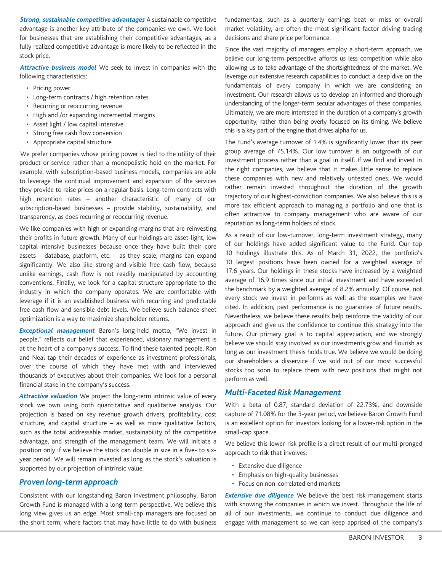*Strong, sustainable competitive advantages* A sustainable competitive advantage is another key attribute of the companies we own. We look for businesses that are establishing their competitive advantages, as a fully realized competitive advantage is more likely to be reflected in the stock price.

*Attractive business model* We seek to invest in companies with the following characteristics:

- Pricing power
- Long-term contracts / high retention rates
- Recurring or reoccurring revenue
- High and /or expanding incremental margins
- Asset light / low capital intensive
- Strong free cash flow conversion
- Appropriate capital structure

We prefer companies whose pricing power is tied to the utility of their product or service rather than a monopolistic hold on the market. For example, with subscription-based business models, companies are able to leverage the continual improvement and expansion of the services they provide to raise prices on a regular basis. Long-term contracts with high retention rates – another characteristic of many of our subscription-based businesses – provide stability, sustainability, and transparency, as does recurring or reoccurring revenue.

We like companies with high or expanding margins that are reinvesting their profits in future growth. Many of our holdings are asset-light, low capital-intensive businesses because once they have built their core assets  $-$  database, platform, etc.  $-$  as they scale, margins can expand significantly. We also like strong and visible free cash flow, because unlike earnings, cash flow is not readily manipulated by accounting conventions. Finally, we look for a capital structure appropriate to the industry in which the company operates. We are comfortable with leverage if it is an established business with recurring and predictable free cash flow and sensible debt levels. We believe such balance-sheet optimization is a way to maximize shareholder returns.

*Exceptional management* Baron's long-held motto, "We invest in people," reflects our belief that experienced, visionary management is at the heart of a company's success. To find these talented people, Ron and Neal tap their decades of experience as investment professionals, over the course of which they have met with and interviewed thousands of executives about their companies. We look for a personal financial stake in the company's success.

*Attractive valuation* We project the long-term intrinsic value of every stock we own using both quantitative and qualitative analysis. Our projection is based on key revenue growth drivers, profitability, cost structure, and capital structure – as well as more qualitative factors, such as the total addressable market, sustainability of the competitive advantage, and strength of the management team. We will initiate a position only if we believe the stock can double in size in a five- to sixyear period. We will remain invested as long as the stock's valuation is supported by our projection of intrinsic value.

# *Proven long-term approach*

Consistent with our longstanding Baron investment philosophy, Baron Growth Fund is managed with a long-term perspective. We believe this long view gives us an edge. Most small-cap managers are focused on the short term, where factors that may have little to do with business

fundamentals, such as a quarterly earnings beat or miss or overall market volatility, are often the most significant factor driving trading decisions and share price performance.

Since the vast majority of managers employ a short-term approach, we believe our long-term perspective affords us less competition while also allowing us to take advantage of the shortsightedness of the market. We leverage our extensive research capabilities to conduct a deep dive on the fundamentals of every company in which we are considering an investment. Our research allows us to develop an informed and thorough understanding of the longer-term secular advantages of these companies. Ultimately, we are more interested in the duration of a company's growth opportunity, rather than being overly focused on its timing. We believe this is a key part of the engine that drives alpha for us.

The Fund's average turnover of 1.4% is significantly lower than its peer group average of 75.14%. Our low turnover is an outgrowth of our investment process rather than a goal in itself. If we find and invest in the right companies, we believe that it makes little sense to replace these companies with new and relatively untested ones. We would rather remain invested throughout the duration of the growth trajectory of our highest-conviction companies. We also believe this is a more tax efficient approach to managing a portfolio and one that is often attractive to company management who are aware of our reputation as long-term holders of stock.

As a result of our low-turnover, long-term investment strategy, many of our holdings have added significant value to the Fund. Our top 10 holdings illustrate this. As of March 31, 2022, the portfolio's 10 largest positions have been owned for a weighted average of 17.6 years. Our holdings in these stocks have increased by a weighted average of 16.9 times since our initial investment and have exceeded the benchmark by a weighted average of 8.2% annually. Of course, not every stock we invest in performs as well as the examples we have cited. In addition, past performance is no guarantee of future results. Nevertheless, we believe these results help reinforce the validity of our approach and give us the confidence to continue this strategy into the future. Our primary goal is to capital appreciation, and we strongly believe we should stay involved as our investments grow and flourish as long as our investment thesis holds true. We believe we would be doing our shareholders a disservice if we sold out of our most successful stocks too soon to replace them with new positions that might not perform as well.

# *Multi-Faceted Risk Management*

With a beta of 0.87, standard deviation of 22.73%, and downside capture of 71.08% for the 3-year period, we believe Baron Growth Fund is an excellent option for investors looking for a lower-risk option in the small-cap space.

We believe this lower-risk profile is a direct result of our multi-pronged approach to risk that involves:

- Extensive due diligence
- Emphasis on high-quality businesses
- Focus on non-correlated end markets

*Extensive due diligence* We believe the best risk management starts with knowing the companies in which we invest. Throughout the life of all of our investments, we continue to conduct due diligence and engage with management so we can keep apprised of the company's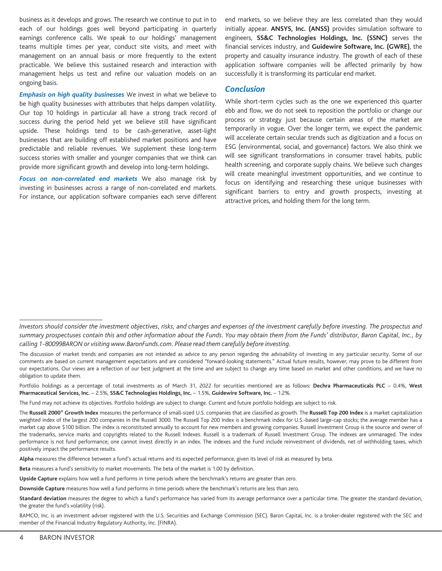business as it develops and grows. The research we continue to put in to each of our holdings goes well beyond participating in quarterly earnings conference calls. We speak to our holdings' management teams multiple times per year, conduct site visits, and meet with management on an annual basis or more frequently to the extent practicable. We believe this sustained research and interaction with management helps us test and refine our valuation models on an ongoing basis.

*Emphasis on high quality businesses* We invest in what we believe to be high quality businesses with attributes that helps dampen volatility. Our top 10 holdings in particular all have a strong track record of success during the period held yet we believe still have significant upside. These holdings tend to be cash-generative, asset-light businesses that are building off established market positions and have predictable and reliable revenues. We supplement these long-term success stories with smaller and younger companies that we think can provide more significant growth and develop into long-term holdings.

*Focus on non-correlated end markets* We also manage risk by investing in businesses across a range of non-correlated end markets. For instance, our application software companies each serve different end markets, so we believe they are less correlated than they would initially appear. **ANSYS, Inc. (ANSS)** provides simulation software to engineers, **SS&C Technologies Holdings, Inc. (SSNC)** serves the financial services industry, and **Guidewire Software, Inc. (GWRE)**, the property and casualty insurance industry. The growth of each of these application software companies will be affected primarily by how successfully it is transforming its particular end market.

# *Conclusion*

While short-term cycles such as the one we experienced this quarter ebb and flow, we do not seek to reposition the portfolio or change our process or strategy just because certain areas of the market are temporarily in vogue. Over the longer term, we expect the pandemic will accelerate certain secular trends such as digitization and a focus on ESG (environmental, social, and governance) factors. We also think we will see significant transformations in consumer travel habits, public health screening, and corporate supply chains. We believe such changes will create meaningful investment opportunities, and we continue to focus on identifying and researching these unique businesses with significant barriers to entry and growth prospects, investing at attractive prices, and holding them for the long term.

Investors should consider the investment objectives, risks, and charges and expenses of the investment carefully before investing. The prospectus and summary prospectuses contain this and other information about the Funds. You may obtain them from the Funds' distributor, Baron Capital, Inc., by *calling 1-80099BARON or visiting www.BaronFunds.com. Please read them carefully before investing.*

The discussion of market trends and companies are not intended as advice to any person regarding the advisability of investing in any particular security. Some of our comments are based on current management expectations and are considered "forward-looking statements." Actual future results, however, may prove to be different from our expectations. Our views are a reflection of our best judgment at the time and are subject to change any time based on market and other conditions, and we have no obligation to update them.

Portfolio holdings as a percentage of total investments as of March 31, 2022 for securities mentioned are as follows: **Dechra Pharmaceuticals PLC** – 0.4%, **West Pharmaceutical Services, Inc.** – 2.5%, **SS&C Technologies Holdings, Inc.** – 1.5%, **Guidewire Software, Inc.** – 1.2%.

The Fund may not achieve its objectives. Portfolio holdings are subject to change. Current and future portfolio holdings are subject to risk.

The Russell 2000<sup>®</sup> Growth Index measures the performance of small-sized U.S. companies that are classified as growth. The Russell Top 200 Index is a market capitalization weighted index of the largest 200 companies in the Russell 3000. The Russell Top 200 Index is a benchmark index for U.S.-based large-cap stocks; the average member has a market cap above \$100 billion. The index is reconstituted annually to account for new members and growing companies. Russell Investment Group is the source and owner of the trademarks, service marks and copyrights related to the Russell Indexes. Russell is a trademark of Russell Investment Group. The indexes are unmanaged. The index performance is not fund performance; one cannot invest directly in an index. The indexes and the Fund include reinvestment of dividends, net of withholding taxes, which positively impact the performance results.

**Alpha** measures the difference between a fund's actual returns and its expected performance, given its level of risk as measured by beta.

**Beta** measures a fund's sensitivity to market movements. The beta of the market is 1.00 by definition.

**Upside Capture** explains how well a fund performs in time periods where the benchmark's returns are greater than zero.

**Downside Capture** measures how well a fund performs in time periods where the benchmark's returns are less than zero.

**Standard deviation** measures the degree to which a fund's performance has varied from its average performance over a particular time. The greater the standard deviation, the greater the fund's volatility (risk).

BAMCO, Inc. is an investment adviser registered with the U.S. Securities and Exchange Commission (SEC). Baron Capital, Inc. is a broker-dealer registered with the SEC and member of the Financial Industry Regulatory Authority, Inc. (FINRA).